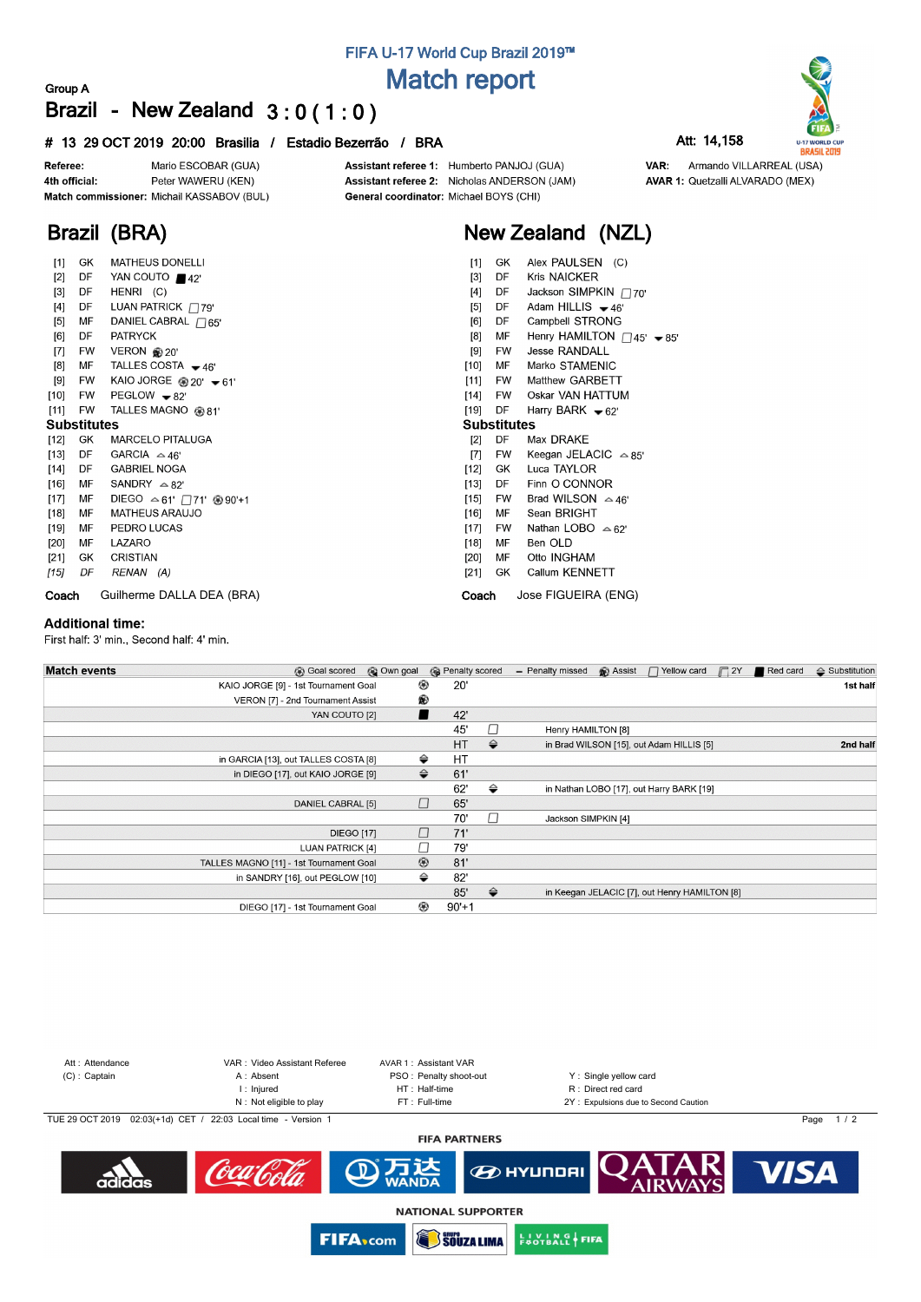## FIFA U-17 World Cup Brazil 2019™ **Match report**

### Group A Brazil - New Zealand  $3:0(1:0)$

#### # 13 29 OCT 2019 20:00 Brasilia / Estadio Bezerrão / BRA



Match commissioner: Michail KASSABOV (BUL)

MATHEUS DONELLI

YAN COUTO 42'

LUAN PATRICK 79'

DANIEL CABRAL 765'

TALLES COSTA  $-46'$ 

TALLES MAGNO @81'

**MARCELO PITALUGA** 

KAIO JORGE <sup>20'</sup> <del>▼</del>61'

HENRI (C)

**PATRYCK** 

VERON @ 20'

 $PEGLOW - 82'$ 

GARCIA  $\approx$  46'

**GABRIEL NOGA** 

SANDRY  $\approx 82'$ 

PEDRO LUCAS

**MATHEUS ARAUJO** 

Assistant referee 1: Humberto PANJOJ (GUA) Assistant referee 2: Nicholas ANDERSON (JAM) General coordinator: Michael BOYS (CHI)

# Now Zeeland (NZI)

|  | New Zealand (NZL)           |  |
|--|-----------------------------|--|
|  | $[1]$ GK Alex PAULSEN $(C)$ |  |

- $[1]$ Alex PAULSEN (C)  $[3]$ **DF** Kris NAICKER Jackson SIMPKIN 770' DF  $[4]$ 
	- Adam HILLIS  $-46'$  $[5]$ DE
	- $[6]$ DF Campbell STRONG
	- Henry HAMILTON  $\Box$ 45'  $\blacktriangleright$  85' **MF**  $R1$
	- $[9]$ **FW Jesse RANDALL**
- $[10]$ MF Marko STAMENIC
- **EW** Matthew GARBETT
- $[11]$  $[14]$ **FW** Oskar VAN HATTUM
- Harry BARK  $\blacktriangleright$  62'  $1191$ DE

### **Substitutes**

- Max DRAKE  $[2]$ DF
- $[7]$ **FW** Keegan JELACIC  $\approx 85$
- $[12]$ GK Luca TAYLOR DF Finn O CONNOR  $[13]$
- **FW** Brad WILSON  $\approx$  46'  $[15]$
- $[16]$ **MF** Sean BRIGHT
- $[17]$ **FW** Nathan LOBO  $\triangle 62'$
- $[18]$ MF Ben OLD
- **MF** Otto INGHAM  $[20]$
- $[21]$ GK Callum KENNETT
- Jose FIGUEIRA (ENG) Coach

Coach Guilherme DALLA DEA (BRA)

LAZARO

CRISTIAN

RENAN (A)

#### **Additional time:**

Referee:

 $[1]$ 

 $[2]$ **DF** 

 $[3]$ 

 $[5]$ MF

 $[6]$ 

 $[7]$ **FW** 

 $[8]$ MF

 $[9] % \begin{center} \includegraphics[width=\linewidth]{imagesSupplemental/Imers.png} \end{center} % \vspace*{-1em} \caption{The image shows the number of parameters of the parameter $\mathcal{M}$ with the number of parameters in the parameter $\mathcal{M}$ and the number of parameters in the parameter $\mathcal{M}$ and the number of parameters in the parameter $\mathcal{M}$ and the number of parameters in the parameter $\mathcal{M}$ and the number of parameters in the parameter $\mathcal{M}$ and the number of parameters in the parameter $\mathcal{M}$ and the number of parameters in the parameter $\mathcal{M}$ and the number of parameters in the parameter $\mathcal{M}$ and the number of parameters in the parameter $\mathcal{M}$ and the number of parameters in the parameter $\mathcal{M}$ and the number of parameters in the parameter $\mathcal{M}$ and the number of parameters in the$ **EW** 

 $[10]$ **FW** 

 $[11]$ **FW** 

 $[12]$ **GK** 

 $[13]$ DE

 $[14]$ DF

 $[16]$ 

 $[17]$ 

 $[18]$ MF

 $[19]$ MF

 $[20]$ MF

 $[21]$ GK

 $[15]$ 

4th official:

Brazil (BRA)

GK

DF

DE  $[4]$ 

 $DF$ 

**Substitutes** 

MF

MF

DF

First half: 3' min., Second half: 4' min.

| <b>Match events</b><br><b>B</b> Goal scored | © Own goal     | <b>B</b> Penalty scored |               | - Penalty missed    | <b>B</b> Assist | $\Box$ Yellow card                            | $\Box$ 2Y | Red card | $\triangle$ Substitution |
|---------------------------------------------|----------------|-------------------------|---------------|---------------------|-----------------|-----------------------------------------------|-----------|----------|--------------------------|
| KAIO JORGE [9] - 1st Tournament Goal        | ⊛              | 20'                     |               |                     |                 |                                               |           |          | 1st half                 |
| VERON [7] - 2nd Tournament Assist           | ®              |                         |               |                     |                 |                                               |           |          |                          |
| YAN COUTO [2]                               |                | 42'                     |               |                     |                 |                                               |           |          |                          |
|                                             |                | 45'                     | П             | Henry HAMILTON [8]  |                 |                                               |           |          |                          |
|                                             |                | HT                      | $\Rightarrow$ |                     |                 | in Brad WILSON [15], out Adam HILLIS [5]      |           |          | 2nd half                 |
| in GARCIA [13], out TALLES COSTA [8]        |                | HT<br>⇔                 |               |                     |                 |                                               |           |          |                          |
| in DIEGO [17], out KAIO JORGE [9]           |                | $\Rightarrow$<br>61'    |               |                     |                 |                                               |           |          |                          |
|                                             |                | 62'                     | ⇔             |                     |                 | in Nathan LOBO [17], out Harry BARK [19]      |           |          |                          |
| DANIEL CABRAL [5]                           | $\Box$         | 65'                     |               |                     |                 |                                               |           |          |                          |
|                                             |                | 70'                     | П             | Jackson SIMPKIN [4] |                 |                                               |           |          |                          |
| <b>DIEGO [17]</b>                           |                | □<br>71'                |               |                     |                 |                                               |           |          |                          |
| LUAN PATRICK [4]                            |                | □<br>79'                |               |                     |                 |                                               |           |          |                          |
| TALLES MAGNO [11] - 1st Tournament Goal     | $^{\circledR}$ | 81'                     |               |                     |                 |                                               |           |          |                          |
| in SANDRY [16], out PEGLOW [10]             |                | ⇔<br>82'                |               |                     |                 |                                               |           |          |                          |
|                                             |                | 85'                     | $\Rightarrow$ |                     |                 | in Keegan JELACIC [7], out Henry HAMILTON [8] |           |          |                          |
| DIEGO [17] - 1st Tournament Goal            | ⊛              | $90'+1$                 |               |                     |                 |                                               |           |          |                          |



**AVAR 1: Quetzalli ALVARADO (MEX)** 

VAR: